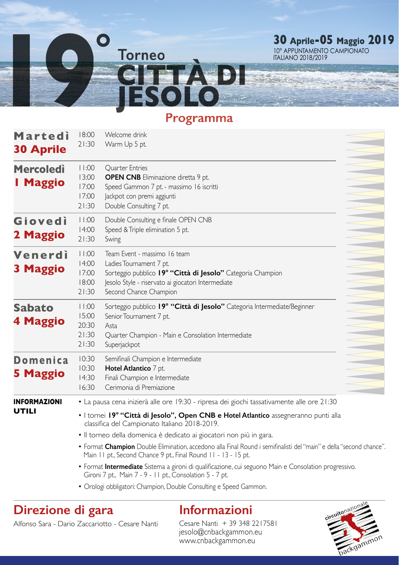

### **Programma**

| Martedi<br><b>30 Aprile</b>         | 18:00<br>21:30                                                                                                                                                                                                                                                                                                                                                                                                                                                                                                                                                                                              | Welcome drink<br>Warm Up 5 pt.                                                                                                                                                                         |  |
|-------------------------------------|-------------------------------------------------------------------------------------------------------------------------------------------------------------------------------------------------------------------------------------------------------------------------------------------------------------------------------------------------------------------------------------------------------------------------------------------------------------------------------------------------------------------------------------------------------------------------------------------------------------|--------------------------------------------------------------------------------------------------------------------------------------------------------------------------------------------------------|--|
| <b>Mercoledi</b><br>I Maggio        | 11:00<br>13:00<br>17:00<br>17:00<br>21:30                                                                                                                                                                                                                                                                                                                                                                                                                                                                                                                                                                   | <b>Ouarter Entries</b><br><b>OPEN CNB</b> Eliminazione diretta 9 pt.<br>Speed Gammon 7 pt. - massimo 16 iscritti<br>lackpot con premi aggiunti<br>Double Consulting 7 pt.                              |  |
| Giovedì<br>2 Maggio                 | 11:00<br>14:00<br>21:30                                                                                                                                                                                                                                                                                                                                                                                                                                                                                                                                                                                     | Double Consulting e finale OPEN CNB<br>Speed & Triple elimination 5 pt.<br>Swing                                                                                                                       |  |
| Venerdì<br>3 Maggio                 | 11:00<br>14:00<br>17:00<br>18:00<br>21:30                                                                                                                                                                                                                                                                                                                                                                                                                                                                                                                                                                   | Team Event - massimo 16 team<br>Ladies Tournament 7 pt.<br>Sorteggio pubblico 19º "Città di Jesolo" Categoria Champion<br>Jesolo Style - riservato ai giocatori Intermediate<br>Second Chance Champion |  |
| <b>Sabato</b><br>4 Maggio           | 11:00<br>15:00<br>20:30<br>21:30<br>21:30                                                                                                                                                                                                                                                                                                                                                                                                                                                                                                                                                                   | Sorteggio pubblico 19° "Città di Jesolo" Categoria Intermediate/Beginner<br>Senior Tournament 7 pt.<br>Asta<br>Quarter Champion - Main e Consolation Intermediate<br>Superjackpot                      |  |
| <b>Domenica</b><br><b>5 Maggio</b>  | 10:30<br>10:30<br>14:30<br>16:30                                                                                                                                                                                                                                                                                                                                                                                                                                                                                                                                                                            | Semifinali Champion e Intermediate<br>Hotel Atlantico 7 pt.<br>Finali Champion e Intermediate<br>Cerimonia di Premiazione                                                                              |  |
| <b>INFORMAZIONI</b><br><b>UTILI</b> | • La pausa cena inizierà alle ore 19:30 - ripresa dei giochi tassativamente alle ore 21:30<br>· I tornei 19° "Città di Jesolo", Open CNB e Hotel Atlantico assegneranno punti alla<br>classifica del Campionato Italiano 2018-2019.<br>· Il torneo della domenica è dedicato ai giocatori non più in gara.<br>• Format Champion Double Elimination, accedono alla Final Round i semifinalisti del "main" e della "second chance"<br>Main 11 pt., Second Chance 9 pt., Final Round 11 - 13 - 15 pt.<br>• Format Intermediate Sistema a gironi di qualificazione, cui seguono Main e Consolation progressivo. |                                                                                                                                                                                                        |  |

Gironi 7 pt., Main 7 - 9 - 11 pt., Consolation 5 - 7 pt.

• Orologi obbligatori: Champion, Double Consulting e Speed Gammon.

## **Direzione di gara**

# **Informazioni**

Alfonso Sara - Dario Zaccariotto - Cesare Nanti

Cesare Nanti + 39 348 2217581 jesolo@cnbackgammon.eu www.cnbackgammon.eu